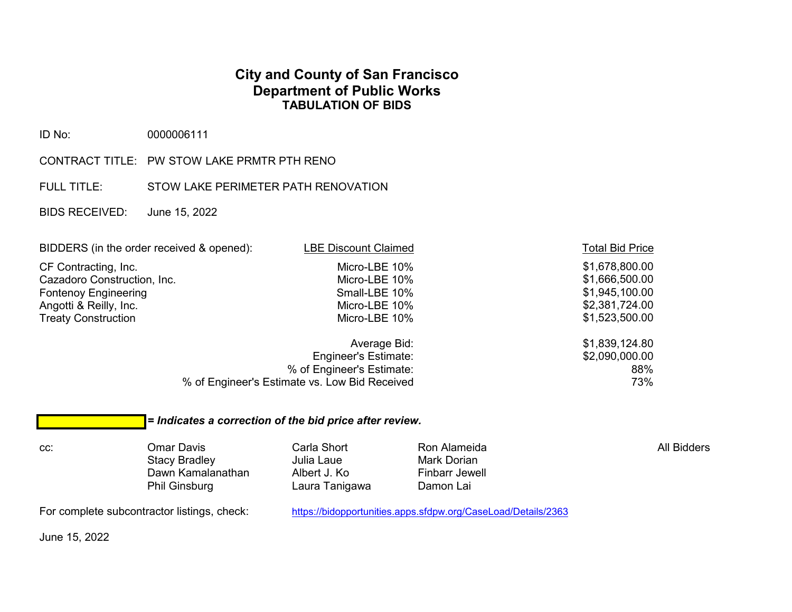## **City and County of San Francisco Department of Public Works TABULATION OF BIDS**

ID No: 0000006111

- CONTRACT TITLE: PW STOW LAKE PRMTR PTH RENO
- FULL TITLE: STOW LAKE PERIMETER PATH RENOVATION
- BIDS RECEIVED: June 15, 2022

| BIDDERS (in the order received & opened): | <b>LBE Discount Claimed</b>                   | <b>Total Bid Price</b> |
|-------------------------------------------|-----------------------------------------------|------------------------|
| CF Contracting, Inc.                      | Micro-LBE 10%                                 | \$1,678,800.00         |
| Cazadoro Construction, Inc.               | Micro-LBE 10%                                 | \$1,666,500.00         |
| <b>Fontenoy Engineering</b>               | Small-LBE 10%                                 | \$1,945,100.00         |
| Angotti & Reilly, Inc.                    | Micro-LBE 10%                                 | \$2,381,724.00         |
| <b>Treaty Construction</b>                | Micro-LBE 10%                                 | \$1,523,500.00         |
|                                           | Average Bid:                                  | \$1,839,124.80         |
|                                           | <b>Engineer's Estimate:</b>                   | \$2,090,000.00         |
|                                           | % of Engineer's Estimate:                     | 88%                    |
|                                           | % of Engineer's Estimate vs. Low Bid Received | 73%                    |

## *= Indicates a correction of the bid price after review.*

cc: Omar Davis Carla Short Ron Alameida All Bidders Stacy Bradley Julia Laue Mark Dorian Dawn Kamalanathan Albert J. Ko Finbarr Jewell Dawn Kamalanathan Albert J. Ko Finbarr Jew<br>Phil Ginsburg Laura Tanigawa Damon Lai

Laura Tanigawa

For complete subcontractor listings, check: <https://bidopportunities.apps.sfdpw.org/CaseLoad/Details/2363>

June 15, 2022